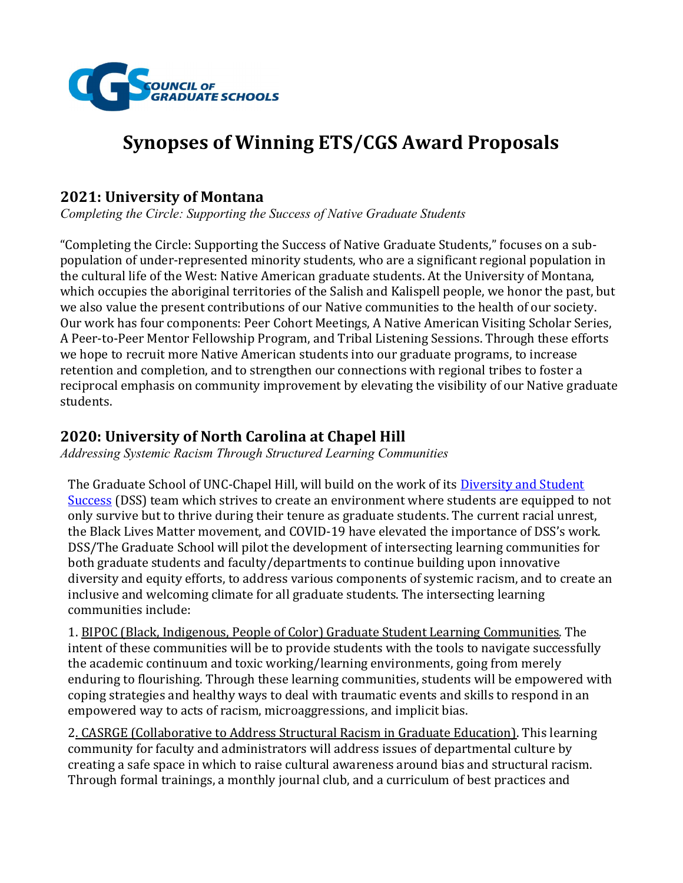

# Synopses of Winning ETS/CGS Award Proposals

#### 2021: University of Montana

Completing the Circle: Supporting the Success of Native Graduate Students

"Completing the Circle: Supporting the Success of Native Graduate Students," focuses on a subpopulation of under-represented minority students, who are a significant regional population in the cultural life of the West: Native American graduate students. At the University of Montana, which occupies the aboriginal territories of the Salish and Kalispell people, we honor the past, but we also value the present contributions of our Native communities to the health of our society. Our work has four components: Peer Cohort Meetings, A Native American Visiting Scholar Series, A Peer-to-Peer Mentor Fellowship Program, and Tribal Listening Sessions. Through these efforts we hope to recruit more Native American students into our graduate programs, to increase retention and completion, and to strengthen our connections with regional tribes to foster a reciprocal emphasis on community improvement by elevating the visibility of our Native graduate students.

### 2020: University of North Carolina at Chapel Hill

Addressing Systemic Racism Through Structured Learning Communities

The Graduate School of UNC-Chapel Hill, will build on the work of its **Diversity and Student** Success (DSS) team which strives to create an environment where students are equipped to not only survive but to thrive during their tenure as graduate students. The current racial unrest, the Black Lives Matter movement, and COVID-19 have elevated the importance of DSS's work. DSS/The Graduate School will pilot the development of intersecting learning communities for both graduate students and faculty/departments to continue building upon innovative diversity and equity efforts, to address various components of systemic racism, and to create an inclusive and welcoming climate for all graduate students. The intersecting learning communities include:

1. BIPOC (Black, Indigenous, People of Color) Graduate Student Learning Communities. The intent of these communities will be to provide students with the tools to navigate successfully the academic continuum and toxic working/learning environments, going from merely enduring to flourishing. Through these learning communities, students will be empowered with coping strategies and healthy ways to deal with traumatic events and skills to respond in an empowered way to acts of racism, microaggressions, and implicit bias.

2. CASRGE (Collaborative to Address Structural Racism in Graduate Education). This learning community for faculty and administrators will address issues of departmental culture by creating a safe space in which to raise cultural awareness around bias and structural racism. Through formal trainings, a monthly journal club, and a curriculum of best practices and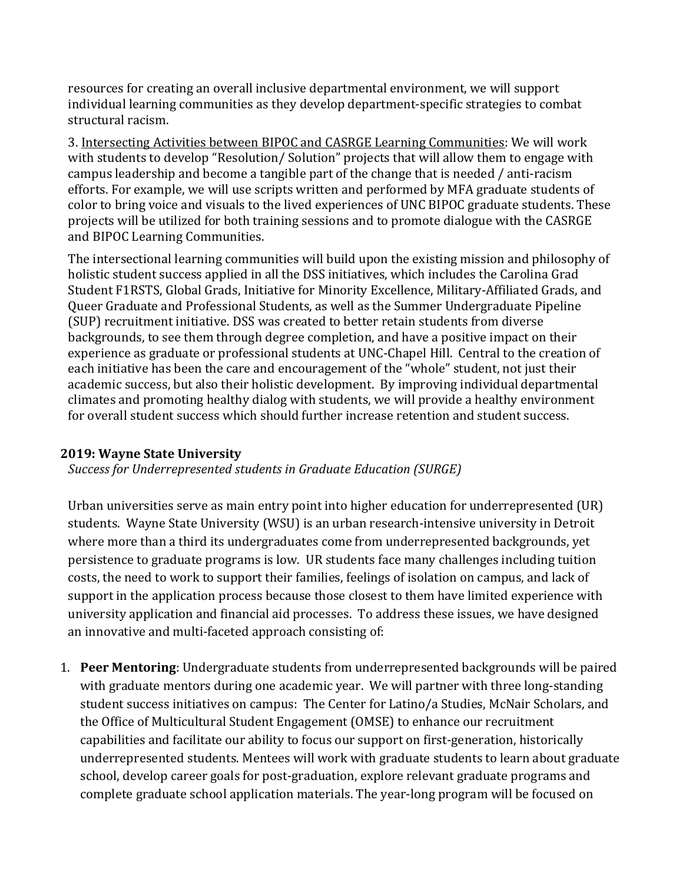resources for creating an overall inclusive departmental environment, we will support individual learning communities as they develop department-specific strategies to combat structural racism.

3. Intersecting Activities between BIPOC and CASRGE Learning Communities: We will work with students to develop "Resolution/ Solution" projects that will allow them to engage with campus leadership and become a tangible part of the change that is needed / anti-racism efforts. For example, we will use scripts written and performed by MFA graduate students of color to bring voice and visuals to the lived experiences of UNC BIPOC graduate students. These projects will be utilized for both training sessions and to promote dialogue with the CASRGE and BIPOC Learning Communities.

The intersectional learning communities will build upon the existing mission and philosophy of holistic student success applied in all the DSS initiatives, which includes the Carolina Grad Student F1RSTS, Global Grads, Initiative for Minority Excellence, Military-Affiliated Grads, and Queer Graduate and Professional Students, as well as the Summer Undergraduate Pipeline (SUP) recruitment initiative. DSS was created to better retain students from diverse backgrounds, to see them through degree completion, and have a positive impact on their experience as graduate or professional students at UNC-Chapel Hill. Central to the creation of each initiative has been the care and encouragement of the "whole" student, not just their academic success, but also their holistic development. By improving individual departmental climates and promoting healthy dialog with students, we will provide a healthy environment for overall student success which should further increase retention and student success.

#### 2019: Wayne State University

Success for Underrepresented students in Graduate Education (SURGE)

Urban universities serve as main entry point into higher education for underrepresented (UR) students. Wayne State University (WSU) is an urban research-intensive university in Detroit where more than a third its undergraduates come from underrepresented backgrounds, yet persistence to graduate programs is low. UR students face many challenges including tuition costs, the need to work to support their families, feelings of isolation on campus, and lack of support in the application process because those closest to them have limited experience with university application and financial aid processes. To address these issues, we have designed an innovative and multi-faceted approach consisting of:

1. Peer Mentoring: Undergraduate students from underrepresented backgrounds will be paired with graduate mentors during one academic year. We will partner with three long-standing student success initiatives on campus: The Center for Latino/a Studies, McNair Scholars, and the Office of Multicultural Student Engagement (OMSE) to enhance our recruitment capabilities and facilitate our ability to focus our support on first-generation, historically underrepresented students. Mentees will work with graduate students to learn about graduate school, develop career goals for post-graduation, explore relevant graduate programs and complete graduate school application materials. The year-long program will be focused on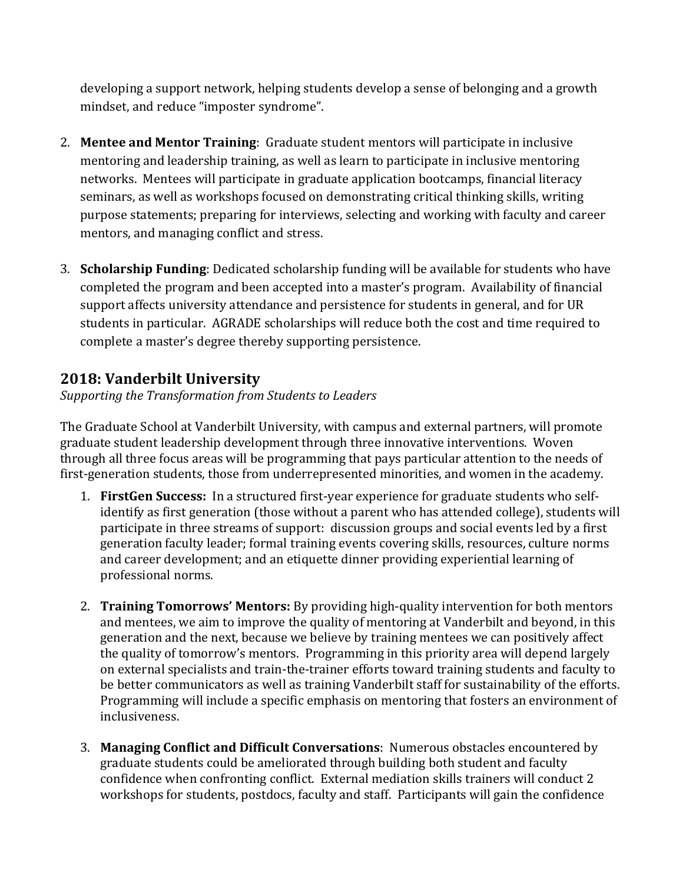developing a support network, helping students develop a sense of belonging and a growth mindset, and reduce "imposter syndrome".

- 2. Mentee and Mentor Training: Graduate student mentors will participate in inclusive mentoring and leadership training, as well as learn to participate in inclusive mentoring networks. Mentees will participate in graduate application bootcamps, financial literacy seminars, as well as workshops focused on demonstrating critical thinking skills, writing purpose statements; preparing for interviews, selecting and working with faculty and career mentors, and managing conflict and stress.
- 3. Scholarship Funding: Dedicated scholarship funding will be available for students who have completed the program and been accepted into a master's program. Availability of financial support affects university attendance and persistence for students in general, and for UR students in particular. AGRADE scholarships will reduce both the cost and time required to complete a master's degree thereby supporting persistence.

# 2018: Vanderbilt University

Supporting the Transformation from Students to Leaders

The Graduate School at Vanderbilt University, with campus and external partners, will promote graduate student leadership development through three innovative interventions. Woven through all three focus areas will be programming that pays particular attention to the needs of first-generation students, those from underrepresented minorities, and women in the academy.

- 1. FirstGen Success: In a structured first-year experience for graduate students who selfidentify as first generation (those without a parent who has attended college), students will participate in three streams of support: discussion groups and social events led by a first generation faculty leader; formal training events covering skills, resources, culture norms and career development; and an etiquette dinner providing experiential learning of professional norms.
- 2. Training Tomorrows' Mentors: By providing high-quality intervention for both mentors and mentees, we aim to improve the quality of mentoring at Vanderbilt and beyond, in this generation and the next, because we believe by training mentees we can positively affect the quality of tomorrow's mentors. Programming in this priority area will depend largely on external specialists and train-the-trainer efforts toward training students and faculty to be better communicators as well as training Vanderbilt staff for sustainability of the efforts. Programming will include a specific emphasis on mentoring that fosters an environment of inclusiveness.
- 3. Managing Conflict and Difficult Conversations: Numerous obstacles encountered by graduate students could be ameliorated through building both student and faculty confidence when confronting conflict. External mediation skills trainers will conduct 2 workshops for students, postdocs, faculty and staff. Participants will gain the confidence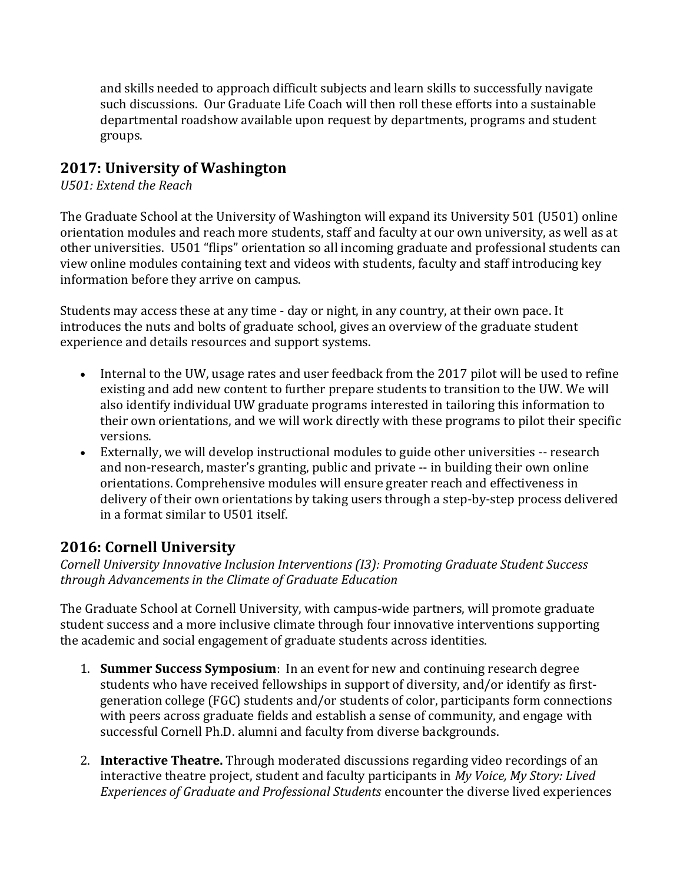and skills needed to approach difficult subjects and learn skills to successfully navigate such discussions. Our Graduate Life Coach will then roll these efforts into a sustainable departmental roadshow available upon request by departments, programs and student groups.

#### 2017: University of Washington

U501: Extend the Reach

The Graduate School at the University of Washington will expand its University 501 (U501) online orientation modules and reach more students, staff and faculty at our own university, as well as at other universities. U501 "flips" orientation so all incoming graduate and professional students can view online modules containing text and videos with students, faculty and staff introducing key information before they arrive on campus.

Students may access these at any time - day or night, in any country, at their own pace. It introduces the nuts and bolts of graduate school, gives an overview of the graduate student experience and details resources and support systems.

- Internal to the UW, usage rates and user feedback from the 2017 pilot will be used to refine existing and add new content to further prepare students to transition to the UW. We will also identify individual UW graduate programs interested in tailoring this information to their own orientations, and we will work directly with these programs to pilot their specific versions.
- Externally, we will develop instructional modules to guide other universities -- research and non-research, master's granting, public and private -- in building their own online orientations. Comprehensive modules will ensure greater reach and effectiveness in delivery of their own orientations by taking users through a step-by-step process delivered in a format similar to U501 itself.

### 2016: Cornell University

Cornell University Innovative Inclusion Interventions (I3): Promoting Graduate Student Success through Advancements in the Climate of Graduate Education

The Graduate School at Cornell University, with campus-wide partners, will promote graduate student success and a more inclusive climate through four innovative interventions supporting the academic and social engagement of graduate students across identities.

- 1. **Summer Success Symposium**: In an event for new and continuing research degree students who have received fellowships in support of diversity, and/or identify as firstgeneration college (FGC) students and/or students of color, participants form connections with peers across graduate fields and establish a sense of community, and engage with successful Cornell Ph.D. alumni and faculty from diverse backgrounds.
- 2. Interactive Theatre. Through moderated discussions regarding video recordings of an interactive theatre project, student and faculty participants in My Voice, My Story: Lived Experiences of Graduate and Professional Students encounter the diverse lived experiences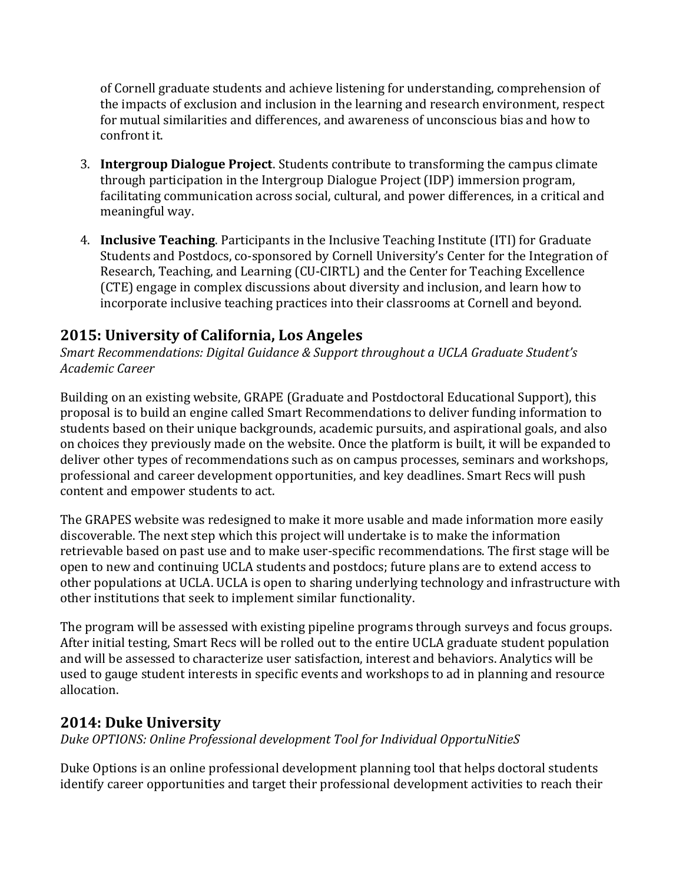of Cornell graduate students and achieve listening for understanding, comprehension of the impacts of exclusion and inclusion in the learning and research environment, respect for mutual similarities and differences, and awareness of unconscious bias and how to confront it.

- 3. Intergroup Dialogue Project. Students contribute to transforming the campus climate through participation in the Intergroup Dialogue Project (IDP) immersion program, facilitating communication across social, cultural, and power differences, in a critical and meaningful way.
- 4. Inclusive Teaching. Participants in the Inclusive Teaching Institute (ITI) for Graduate Students and Postdocs, co-sponsored by Cornell University's Center for the Integration of Research, Teaching, and Learning (CU-CIRTL) and the Center for Teaching Excellence (CTE) engage in complex discussions about diversity and inclusion, and learn how to incorporate inclusive teaching practices into their classrooms at Cornell and beyond.

# 2015: University of California, Los Angeles

Smart Recommendations: Digital Guidance & Support throughout a UCLA Graduate Student's Academic Career

Building on an existing website, GRAPE (Graduate and Postdoctoral Educational Support), this proposal is to build an engine called Smart Recommendations to deliver funding information to students based on their unique backgrounds, academic pursuits, and aspirational goals, and also on choices they previously made on the website. Once the platform is built, it will be expanded to deliver other types of recommendations such as on campus processes, seminars and workshops, professional and career development opportunities, and key deadlines. Smart Recs will push content and empower students to act.

The GRAPES website was redesigned to make it more usable and made information more easily discoverable. The next step which this project will undertake is to make the information retrievable based on past use and to make user-specific recommendations. The first stage will be open to new and continuing UCLA students and postdocs; future plans are to extend access to other populations at UCLA. UCLA is open to sharing underlying technology and infrastructure with other institutions that seek to implement similar functionality.

The program will be assessed with existing pipeline programs through surveys and focus groups. After initial testing, Smart Recs will be rolled out to the entire UCLA graduate student population and will be assessed to characterize user satisfaction, interest and behaviors. Analytics will be used to gauge student interests in specific events and workshops to ad in planning and resource allocation.

# 2014: Duke University

Duke OPTIONS: Online Professional development Tool for Individual OpportuNitieS

Duke Options is an online professional development planning tool that helps doctoral students identify career opportunities and target their professional development activities to reach their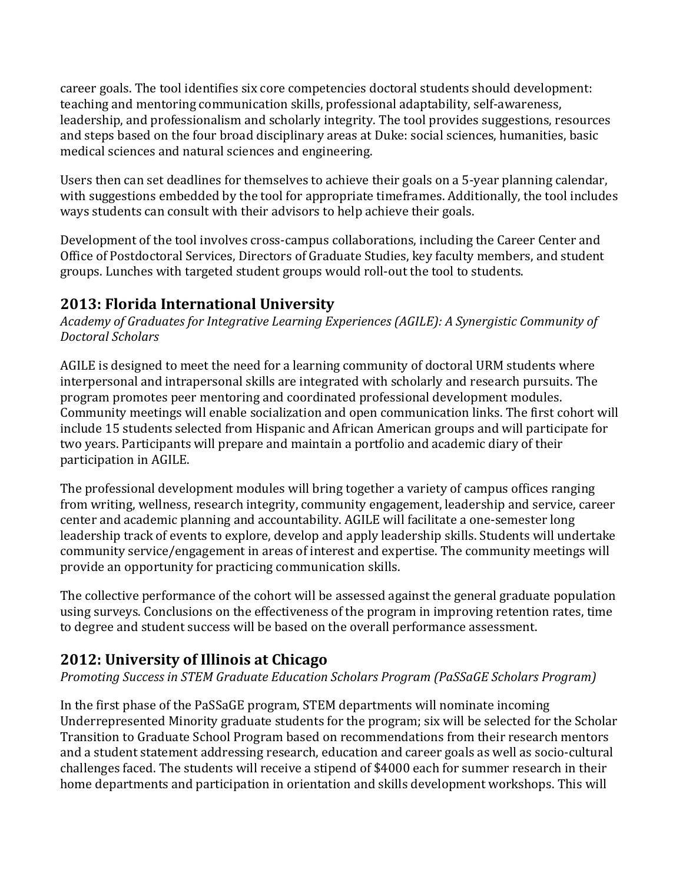career goals. The tool identifies six core competencies doctoral students should development: teaching and mentoring communication skills, professional adaptability, self-awareness, leadership, and professionalism and scholarly integrity. The tool provides suggestions, resources and steps based on the four broad disciplinary areas at Duke: social sciences, humanities, basic medical sciences and natural sciences and engineering.

Users then can set deadlines for themselves to achieve their goals on a 5-year planning calendar, with suggestions embedded by the tool for appropriate timeframes. Additionally, the tool includes ways students can consult with their advisors to help achieve their goals.

Development of the tool involves cross-campus collaborations, including the Career Center and Office of Postdoctoral Services, Directors of Graduate Studies, key faculty members, and student groups. Lunches with targeted student groups would roll-out the tool to students.

# 2013: Florida International University

Academy of Graduates for Integrative Learning Experiences (AGILE): A Synergistic Community of Doctoral Scholars

AGILE is designed to meet the need for a learning community of doctoral URM students where interpersonal and intrapersonal skills are integrated with scholarly and research pursuits. The program promotes peer mentoring and coordinated professional development modules. Community meetings will enable socialization and open communication links. The first cohort will include 15 students selected from Hispanic and African American groups and will participate for two years. Participants will prepare and maintain a portfolio and academic diary of their participation in AGILE.

The professional development modules will bring together a variety of campus offices ranging from writing, wellness, research integrity, community engagement, leadership and service, career center and academic planning and accountability. AGILE will facilitate a one-semester long leadership track of events to explore, develop and apply leadership skills. Students will undertake community service/engagement in areas of interest and expertise. The community meetings will provide an opportunity for practicing communication skills.

The collective performance of the cohort will be assessed against the general graduate population using surveys. Conclusions on the effectiveness of the program in improving retention rates, time to degree and student success will be based on the overall performance assessment.

# 2012: University of Illinois at Chicago

Promoting Success in STEM Graduate Education Scholars Program (PaSSaGE Scholars Program)

In the first phase of the PaSSaGE program, STEM departments will nominate incoming Underrepresented Minority graduate students for the program; six will be selected for the Scholar Transition to Graduate School Program based on recommendations from their research mentors and a student statement addressing research, education and career goals as well as socio-cultural challenges faced. The students will receive a stipend of \$4000 each for summer research in their home departments and participation in orientation and skills development workshops. This will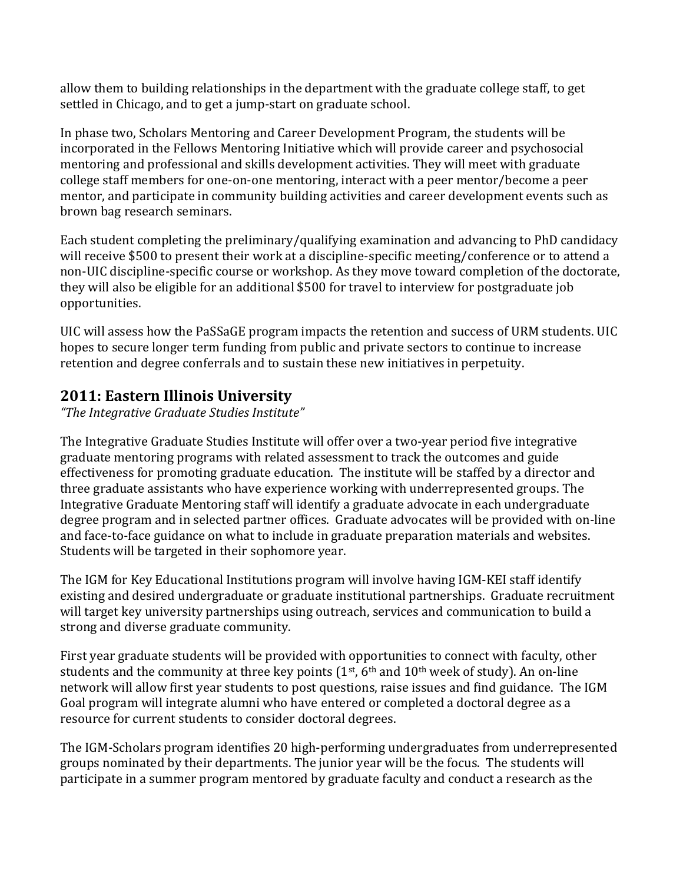allow them to building relationships in the department with the graduate college staff, to get settled in Chicago, and to get a jump-start on graduate school.

In phase two, Scholars Mentoring and Career Development Program, the students will be incorporated in the Fellows Mentoring Initiative which will provide career and psychosocial mentoring and professional and skills development activities. They will meet with graduate college staff members for one-on-one mentoring, interact with a peer mentor/become a peer mentor, and participate in community building activities and career development events such as brown bag research seminars.

Each student completing the preliminary/qualifying examination and advancing to PhD candidacy will receive \$500 to present their work at a discipline-specific meeting/conference or to attend a non-UIC discipline-specific course or workshop. As they move toward completion of the doctorate, they will also be eligible for an additional \$500 for travel to interview for postgraduate job opportunities.

UIC will assess how the PaSSaGE program impacts the retention and success of URM students. UIC hopes to secure longer term funding from public and private sectors to continue to increase retention and degree conferrals and to sustain these new initiatives in perpetuity.

# 2011: Eastern Illinois University

"The Integrative Graduate Studies Institute"

The Integrative Graduate Studies Institute will offer over a two-year period five integrative graduate mentoring programs with related assessment to track the outcomes and guide effectiveness for promoting graduate education. The institute will be staffed by a director and three graduate assistants who have experience working with underrepresented groups. The Integrative Graduate Mentoring staff will identify a graduate advocate in each undergraduate degree program and in selected partner offices. Graduate advocates will be provided with on-line and face-to-face guidance on what to include in graduate preparation materials and websites. Students will be targeted in their sophomore year.

The IGM for Key Educational Institutions program will involve having IGM-KEI staff identify existing and desired undergraduate or graduate institutional partnerships. Graduate recruitment will target key university partnerships using outreach, services and communication to build a strong and diverse graduate community.

First year graduate students will be provided with opportunities to connect with faculty, other students and the community at three key points  $(1<sup>st</sup>, 6<sup>th</sup>$  and  $10<sup>th</sup>$  week of study). An on-line network will allow first year students to post questions, raise issues and find guidance. The IGM Goal program will integrate alumni who have entered or completed a doctoral degree as a resource for current students to consider doctoral degrees.

The IGM-Scholars program identifies 20 high-performing undergraduates from underrepresented groups nominated by their departments. The junior year will be the focus. The students will participate in a summer program mentored by graduate faculty and conduct a research as the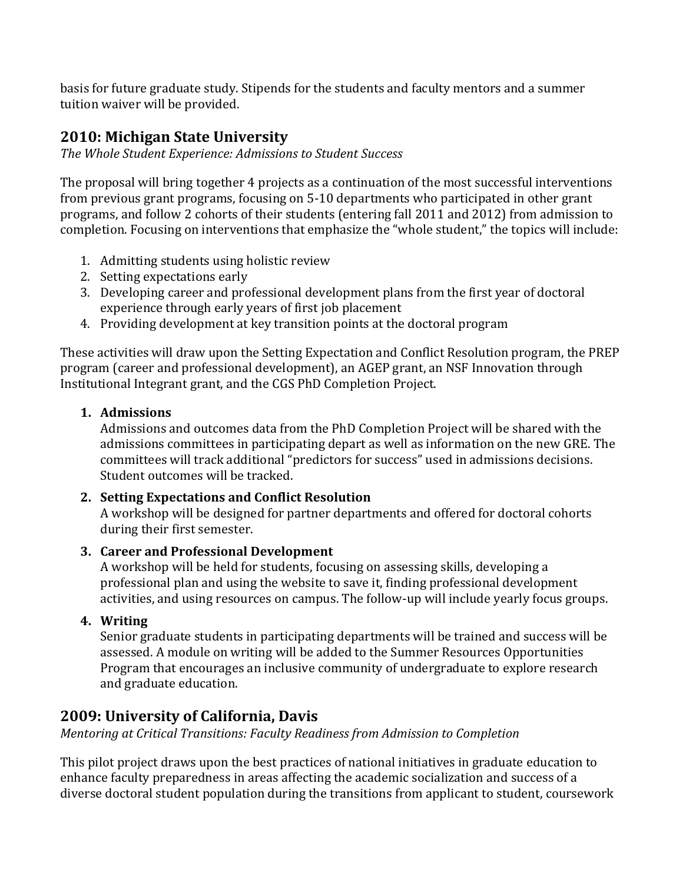basis for future graduate study. Stipends for the students and faculty mentors and a summer tuition waiver will be provided.

### 2010: Michigan State University

The Whole Student Experience: Admissions to Student Success

The proposal will bring together 4 projects as a continuation of the most successful interventions from previous grant programs, focusing on 5-10 departments who participated in other grant programs, and follow 2 cohorts of their students (entering fall 2011 and 2012) from admission to completion. Focusing on interventions that emphasize the "whole student," the topics will include:

- 1. Admitting students using holistic review
- 2. Setting expectations early
- 3. Developing career and professional development plans from the first year of doctoral experience through early years of first job placement
- 4. Providing development at key transition points at the doctoral program

These activities will draw upon the Setting Expectation and Conflict Resolution program, the PREP program (career and professional development), an AGEP grant, an NSF Innovation through Institutional Integrant grant, and the CGS PhD Completion Project.

#### 1. Admissions

Admissions and outcomes data from the PhD Completion Project will be shared with the admissions committees in participating depart as well as information on the new GRE. The committees will track additional "predictors for success" used in admissions decisions. Student outcomes will be tracked.

#### 2. Setting Expectations and Conflict Resolution

A workshop will be designed for partner departments and offered for doctoral cohorts during their first semester.

#### 3. Career and Professional Development

A workshop will be held for students, focusing on assessing skills, developing a professional plan and using the website to save it, finding professional development activities, and using resources on campus. The follow-up will include yearly focus groups.

#### 4. Writing

Senior graduate students in participating departments will be trained and success will be assessed. A module on writing will be added to the Summer Resources Opportunities Program that encourages an inclusive community of undergraduate to explore research and graduate education.

### 2009: University of California, Davis

Mentoring at Critical Transitions: Faculty Readiness from Admission to Completion

This pilot project draws upon the best practices of national initiatives in graduate education to enhance faculty preparedness in areas affecting the academic socialization and success of a diverse doctoral student population during the transitions from applicant to student, coursework